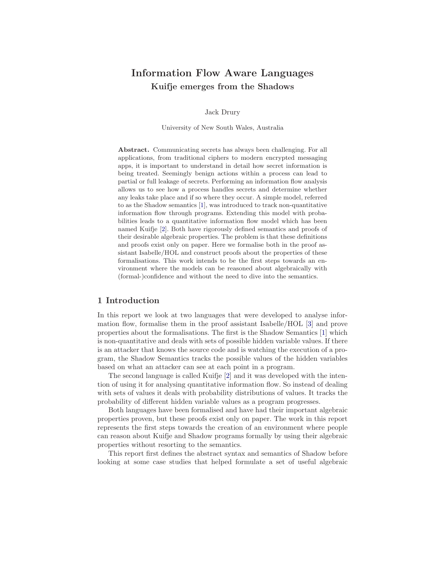# Information Flow Aware Languages Kuifje emerges from the Shadows

Jack Drury

University of New South Wales, Australia

Abstract. Communicating secrets has always been challenging. For all applications, from traditional ciphers to modern encrypted messaging apps, it is important to understand in detail how secret information is being treated. Seemingly benign actions within a process can lead to partial or full leakage of secrets. Performing an information flow analysis allows us to see how a process handles secrets and determine whether any leaks take place and if so where they occur. A simple model, referred to as the Shadow semantics [\[1\]](#page-27-0), was introduced to track non-quantitative information flow through programs. Extending this model with probabilities leads to a quantitative information flow model which has been named Kuifje [\[2\]](#page-27-1). Both have rigorously defined semantics and proofs of their desirable algebraic properties. The problem is that these definitions and proofs exist only on paper. Here we formalise both in the proof assistant Isabelle/HOL and construct proofs about the properties of these formalisations. This work intends to be the first steps towards an environment where the models can be reasoned about algebraically with (formal-)confidence and without the need to dive into the semantics.

## 1 Introduction

In this report we look at two languages that were developed to analyse information flow, formalise them in the proof assistant Isabelle/HOL [\[3\]](#page-27-2) and prove properties about the formalisations. The first is the Shadow Semantics [\[1\]](#page-27-0) which is non-quantitative and deals with sets of possible hidden variable values. If there is an attacker that knows the source code and is watching the execution of a program, the Shadow Semantics tracks the possible values of the hidden variables based on what an attacker can see at each point in a program.

The second language is called Kuifje [\[2\]](#page-27-1) and it was developed with the intention of using it for analysing quantitative information flow. So instead of dealing with sets of values it deals with probability distributions of values. It tracks the probability of different hidden variable values as a program progresses.

Both languages have been formalised and have had their important algebraic properties proven, but these proofs exist only on paper. The work in this report represents the first steps towards the creation of an environment where people can reason about Kuifje and Shadow programs formally by using their algebraic properties without resorting to the semantics.

This report first defines the abstract syntax and semantics of Shadow before looking at some case studies that helped formulate a set of useful algebraic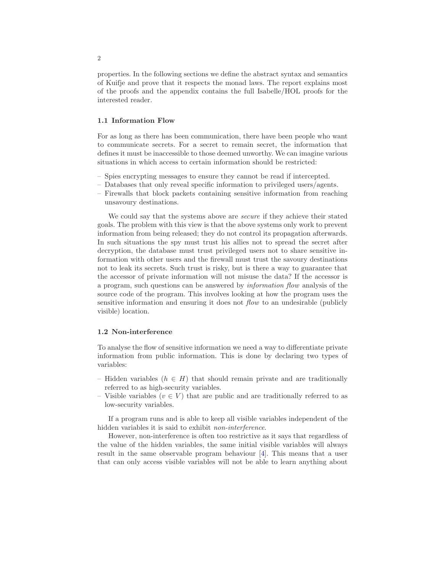properties. In the following sections we define the abstract syntax and semantics of Kuifje and prove that it respects the monad laws. The report explains most of the proofs and the appendix contains the full Isabelle/HOL proofs for the interested reader.

## 1.1 Information Flow

For as long as there has been communication, there have been people who want to communicate secrets. For a secret to remain secret, the information that defines it must be inaccessible to those deemed unworthy. We can imagine various situations in which access to certain information should be restricted:

- Spies encrypting messages to ensure they cannot be read if intercepted.
- Databases that only reveal specific information to privileged users/agents.
- Firewalls that block packets containing sensitive information from reaching unsavoury destinations.

We could say that the systems above are *secure* if they achieve their stated goals. The problem with this view is that the above systems only work to prevent information from being released; they do not control its propagation afterwards. In such situations the spy must trust his allies not to spread the secret after decryption, the database must trust privileged users not to share sensitive information with other users and the firewall must trust the savoury destinations not to leak its secrets. Such trust is risky, but is there a way to guarantee that the accessor of private information will not misuse the data? If the accessor is a program, such questions can be answered by information flow analysis of the source code of the program. This involves looking at how the program uses the sensitive information and ensuring it does not *flow* to an undesirable (publicly visible) location.

## 1.2 Non-interference

To analyse the flow of sensitive information we need a way to differentiate private information from public information. This is done by declaring two types of variables:

- Hidden variables  $(h \in H)$  that should remain private and are traditionally referred to as high-security variables.
- Visible variables ( $v \in V$ ) that are public and are traditionally referred to as low-security variables.

If a program runs and is able to keep all visible variables independent of the hidden variables it is said to exhibit non-interference.

However, non-interference is often too restrictive as it says that regardless of the value of the hidden variables, the same initial visible variables will always result in the same observable program behaviour [\[4\]](#page-27-3). This means that a user that can only access visible variables will not be able to learn anything about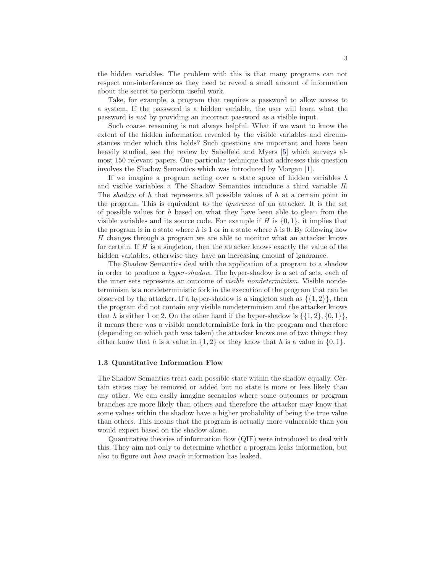the hidden variables. The problem with this is that many programs can not respect non-interference as they need to reveal a small amount of information about the secret to perform useful work.

Take, for example, a program that requires a password to allow access to a system. If the password is a hidden variable, the user will learn what the password is not by providing an incorrect password as a visible input.

Such coarse reasoning is not always helpful. What if we want to know the extent of the hidden information revealed by the visible variables and circumstances under which this holds? Such questions are important and have been heavily studied, see the review by Sabelfeld and Myers [\[5\]](#page-27-4) which surveys almost 150 relevant papers. One particular technique that addresses this question involves the Shadow Semantics which was introduced by Morgan [\[1\]](#page-27-0).

If we imagine a program acting over a state space of hidden variables  $h$ and visible variables v. The Shadow Semantics introduce a third variable H. The *shadow* of h that represents all possible values of h at a certain point in the program. This is equivalent to the ignorance of an attacker. It is the set of possible values for  $h$  based on what they have been able to glean from the visible variables and its source code. For example if H is  $\{0, 1\}$ , it implies that the program is in a state where  $h$  is 1 or in a state where  $h$  is 0. By following how H changes through a program we are able to monitor what an attacker knows for certain. If  $H$  is a singleton, then the attacker knows exactly the value of the hidden variables, otherwise they have an increasing amount of ignorance.

The Shadow Semantics deal with the application of a program to a shadow in order to produce a hyper-shadow. The hyper-shadow is a set of sets, each of the inner sets represents an outcome of *visible nondeterminism*. Visible nondeterminism is a nondeterministic fork in the execution of the program that can be observed by the attacker. If a hyper-shadow is a singleton such as  $\{\{1,2\}\}\,$ , then the program did not contain any visible nondeterminism and the attacker knows that h is either 1 or 2. On the other hand if the hyper-shadow is  $\{\{1, 2\}, \{0, 1\}\},\$ it means there was a visible nondeterministic fork in the program and therefore (depending on which path was taken) the attacker knows one of two things: they either know that h is a value in  $\{1,2\}$  or they know that h is a value in  $\{0,1\}$ .

## 1.3 Quantitative Information Flow

The Shadow Semantics treat each possible state within the shadow equally. Certain states may be removed or added but no state is more or less likely than any other. We can easily imagine scenarios where some outcomes or program branches are more likely than others and therefore the attacker may know that some values within the shadow have a higher probability of being the true value than others. This means that the program is actually more vulnerable than you would expect based on the shadow alone.

Quantitative theories of information flow (QIF) were introduced to deal with this. They aim not only to determine whether a program leaks information, but also to figure out how much information has leaked.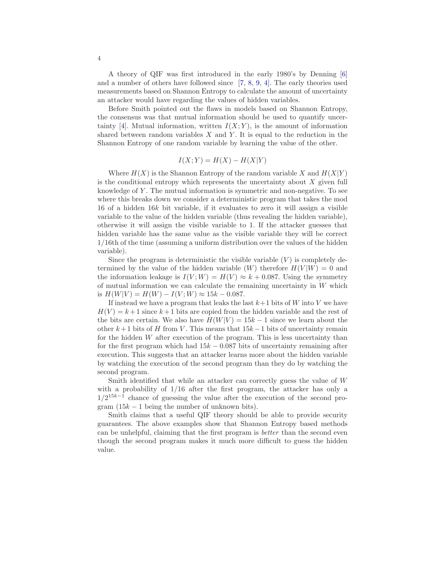A theory of QIF was first introduced in the early 1980's by Denning [\[6\]](#page-27-5) and a number of others have followed since [\[7,](#page-27-6) [8,](#page-27-7) [9,](#page-27-8) [4\]](#page-27-3). The early theories used measurements based on Shannon Entropy to calculate the amount of uncertainty an attacker would have regarding the values of hidden variables.

Before Smith pointed out the flaws in models based on Shannon Entropy, the consensus was that mutual information should be used to quantify uncer-tainty [\[4\]](#page-27-3). Mutual information, written  $I(X; Y)$ , is the amount of information shared between random variables  $X$  and  $Y$ . It is equal to the reduction in the Shannon Entropy of one random variable by learning the value of the other.

$$
I(X;Y) = H(X) - H(X|Y)
$$

Where  $H(X)$  is the Shannon Entropy of the random variable X and  $H(X|Y)$ is the conditional entropy which represents the uncertainty about  $X$  given full knowledge of Y . The mutual information is symmetric and non-negative. To see where this breaks down we consider a deterministic program that takes the mod 16 of a hidden  $16k$  bit variable, if it evaluates to zero it will assign a visible variable to the value of the hidden variable (thus revealing the hidden variable), otherwise it will assign the visible variable to 1. If the attacker guesses that hidden variable has the same value as the visible variable they will be correct 1/16th of the time (assuming a uniform distribution over the values of the hidden variable).

Since the program is deterministic the visible variable  $(V)$  is completely determined by the value of the hidden variable  $(W)$  therefore  $H(V | W) = 0$  and the information leakage is  $I(V;W) = H(V) \approx k + 0.087$ . Using the symmetry of mutual information we can calculate the remaining uncertainty in  $W$  which is  $H(W|V) = H(W) - I(V;W) \approx 15k - 0.087$ .

If instead we have a program that leaks the last  $k+1$  bits of W into V we have  $H(V) = k+1$  since  $k+1$  bits are copied from the hidden variable and the rest of the bits are certain. We also have  $H(W|V) = 15k - 1$  since we learn about the other  $k+1$  bits of H from V. This means that  $15k-1$  bits of uncertainty remain for the hidden  $W$  after execution of the program. This is less uncertainty than for the first program which had  $15k - 0.087$  bits of uncertainty remaining after execution. This suggests that an attacker learns more about the hidden variable by watching the execution of the second program than they do by watching the second program.

Smith identified that while an attacker can correctly guess the value of W with a probability of  $1/16$  after the first program, the attacker has only a  $1/2^{15k-1}$  chance of guessing the value after the execution of the second program  $(15k - 1)$  being the number of unknown bits).

Smith claims that a useful QIF theory should be able to provide security guarantees. The above examples show that Shannon Entropy based methods can be unhelpful, claiming that the first program is better than the second even though the second program makes it much more difficult to guess the hidden value.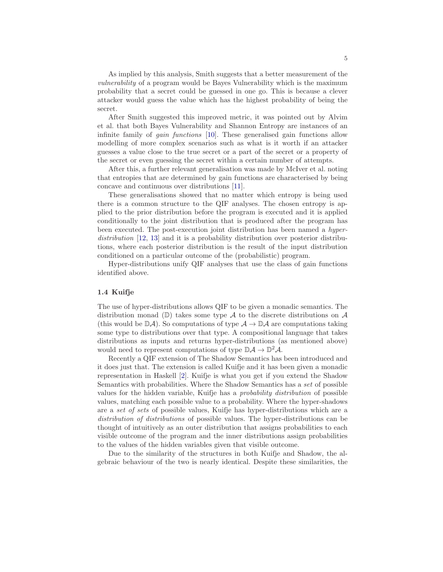As implied by this analysis, Smith suggests that a better measurement of the vulnerability of a program would be Bayes Vulnerability which is the maximum probability that a secret could be guessed in one go. This is because a clever attacker would guess the value which has the highest probability of being the secret.

After Smith suggested this improved metric, it was pointed out by Alvim et al. that both Bayes Vulnerability and Shannon Entropy are instances of an infinite family of gain functions [\[10\]](#page-28-0). These generalised gain functions allow modelling of more complex scenarios such as what is it worth if an attacker guesses a value close to the true secret or a part of the secret or a property of the secret or even guessing the secret within a certain number of attempts.

After this, a further relevant generalisation was made by McIver et al. noting that entropies that are determined by gain functions are characterised by being concave and continuous over distributions [\[11\]](#page-28-1).

These generalisations showed that no matter which entropy is being used there is a common structure to the QIF analyses. The chosen entropy is applied to the prior distribution before the program is executed and it is applied conditionally to the joint distribution that is produced after the program has been executed. The post-execution joint distribution has been named a hyper-distribution [\[12,](#page-28-2) [13\]](#page-28-3) and it is a probability distribution over posterior distributions, where each posterior distribution is the result of the input distribution conditioned on a particular outcome of the (probabilistic) program.

Hyper-distributions unify QIF analyses that use the class of gain functions identified above.

#### 1.4 Kuifje

The use of hyper-distributions allows QIF to be given a monadic semantics. The distribution monad ( $\mathbb{D}$ ) takes some type A to the discrete distributions on A (this would be  $\mathbb{D}A$ ). So computations of type  $A \to \mathbb{D}A$  are computations taking some type to distributions over that type. A compositional language that takes distributions as inputs and returns hyper-distributions (as mentioned above) would need to represent computations of type  $\mathbb{D}\mathcal{A} \to \mathbb{D}^2\mathcal{A}$ .

Recently a QIF extension of The Shadow Semantics has been introduced and it does just that. The extension is called Kuifje and it has been given a monadic representation in Haskell [\[2\]](#page-27-1). Kuifje is what you get if you extend the Shadow Semantics with probabilities. Where the Shadow Semantics has a set of possible values for the hidden variable, Kuifje has a probability distribution of possible values, matching each possible value to a probability. Where the hyper-shadows are a set of sets of possible values, Kuifje has hyper-distributions which are a distribution of distributions of possible values. The hyper-distributions can be thought of intuitively as an outer distribution that assigns probabilities to each visible outcome of the program and the inner distributions assign probabilities to the values of the hidden variables given that visible outcome.

Due to the similarity of the structures in both Kuifje and Shadow, the algebraic behaviour of the two is nearly identical. Despite these similarities, the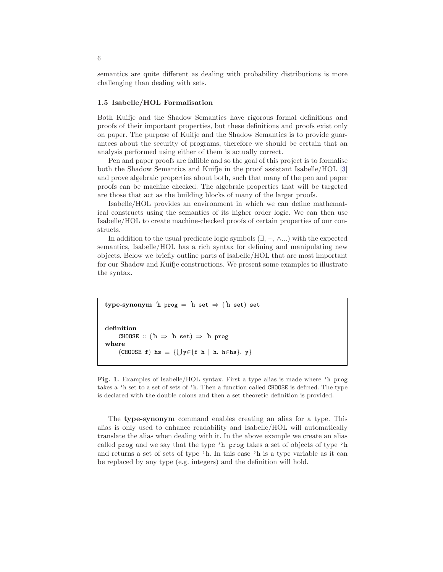semantics are quite different as dealing with probability distributions is more challenging than dealing with sets.

#### 1.5 Isabelle/HOL Formalisation

Both Kuifje and the Shadow Semantics have rigorous formal definitions and proofs of their important properties, but these definitions and proofs exist only on paper. The purpose of Kuifje and the Shadow Semantics is to provide guarantees about the security of programs, therefore we should be certain that an analysis performed using either of them is actually correct.

Pen and paper proofs are fallible and so the goal of this project is to formalise both the Shadow Semantics and Kuifje in the proof assistant Isabelle/HOL [\[3\]](#page-27-2) and prove algebraic properties about both, such that many of the pen and paper proofs can be machine checked. The algebraic properties that will be targeted are those that act as the building blocks of many of the larger proofs.

Isabelle/HOL provides an environment in which we can define mathematical constructs using the semantics of its higher order logic. We can then use Isabelle/HOL to create machine-checked proofs of certain properties of our constructs.

In addition to the usual predicate logic symbols  $(\exists, \neg, \wedge \dots)$  with the expected semantics, Isabelle/HOL has a rich syntax for defining and manipulating new objects. Below we briefly outline parts of Isabelle/HOL that are most important for our Shadow and Kuifje constructions. We present some examples to illustrate the syntax.

 $\tt type-synonym$  'h prog = 'h set  $\Rightarrow$  ('h set) set

definition CHOOSE ::  $( h \Rightarrow h \text{ set } ) \Rightarrow h \text{ prog}$ where  $(CHOOSE f)$  hs  $\equiv \{\bigcup y \in \{f \ h \mid h. h \in hs\}. y\}$ 

<span id="page-5-0"></span>Fig. 1. Examples of Isabelle/HOL syntax. First a type alias is made where 'h prog takes a 'h set to a set of sets of 'h. Then a function called CHOOSE is defined. The type is declared with the double colons and then a set theoretic definition is provided.

The type-synonym command enables creating an alias for a type. This alias is only used to enhance readability and Isabelle/HOL will automatically translate the alias when dealing with it. In the above example we create an alias called prog and we say that the type 'h prog takes a set of objects of type 'h and returns a set of sets of type 'h. In this case 'h is a type variable as it can be replaced by any type (e.g. integers) and the definition will hold.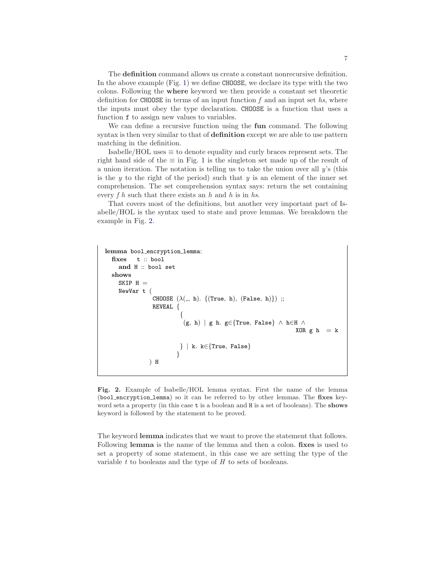The definition command allows us create a constant nonrecursive definition. In the above example (Fig. [1\)](#page-5-0) we define CHOOSE, we declare its type with the two colons. Following the where keyword we then provide a constant set theoretic definition for CHOOSE in terms of an input function  $f$  and an input set hs, where the inputs must obey the type declaration. CHOOSE is a function that uses a function f to assign new values to variables.

We can define a recursive function using the fun command. The following syntax is then very similar to that of definition except we are able to use pattern matching in the definition.

Isabelle/HOL uses  $\equiv$  to denote equality and curly braces represent sets. The right hand side of the  $\equiv$  in Fig. [1](#page-5-0) is the singleton set made up of the result of a union iteration. The notation is telling us to take the union over all  $y$ 's (this is the  $y$  to the right of the period) such that  $y$  is an element of the inner set comprehension. The set comprehension syntax says: return the set containing every  $f h$  such that there exists an  $h$  and  $h$  is in  $hs$ .

That covers most of the definitions, but another very important part of Isabelle/HOL is the syntax used to state and prove lemmas. We breakdown the example in Fig. [2.](#page-6-0)

```
lemma bool_encryption_lemma:
  fixes t :: bool
    and H :: bool set
  shows
    SKIP H =NewVar t (
                CHOOSE (\lambda(\_, h). \{(True, h), (False, h)\});
                REVEAL {
                          {
                          \tilde{f}(g, h) | g h. g∈{True, False} \wedge h∈H \wedgeXOR g h = k} | k. k∈{True, False}
                         }
               ) H
```
<span id="page-6-0"></span>Fig. 2. Example of Isabelle/HOL lemma syntax. First the name of the lemma (bool encryption lemma) so it can be referred to by other lemmas. The fixes keyword sets a property (in this case  $t$  is a boolean and H is a set of booleans). The **shows** keyword is followed by the statement to be proved.

The keyword lemma indicates that we want to prove the statement that follows. Following lemma is the name of the lemma and then a colon. fixes is used to set a property of some statement, in this case we are setting the type of the variable  $t$  to booleans and the type of  $H$  to sets of booleans.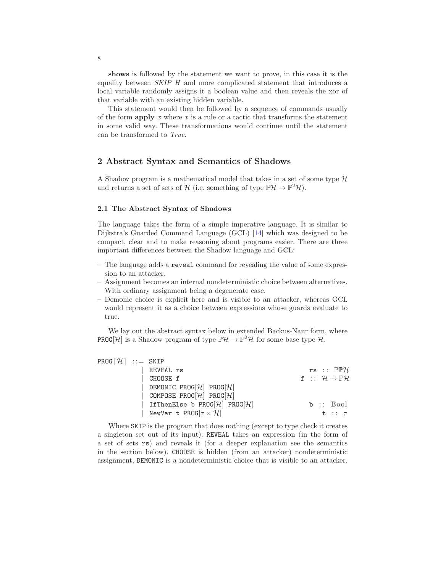shows is followed by the statement we want to prove, in this case it is the equality between SKIP H and more complicated statement that introduces a local variable randomly assigns it a boolean value and then reveals the xor of that variable with an existing hidden variable.

This statement would then be followed by a sequence of commands usually of the form apply x where x is a rule or a tactic that transforms the statement in some valid way. These transformations would continue until the statement can be transformed to True.

## 2 Abstract Syntax and Semantics of Shadows

A Shadow program is a mathematical model that takes in a set of some type  $H$ and returns a set of sets of  $H$  (i.e. something of type  $\mathbb{P}\mathcal{H} \to \mathbb{P}^2\mathcal{H}$ ).

#### 2.1 The Abstract Syntax of Shadows

The language takes the form of a simple imperative language. It is similar to Dijkstra's Guarded Command Language (GCL) [\[14\]](#page-28-4) which was designed to be compact, clear and to make reasoning about programs easier. There are three important differences between the Shadow language and GCL:

- The language adds a reveal command for revealing the value of some expression to an attacker.
- Assignment becomes an internal nondeterministic choice between alternatives. With ordinary assignment being a degenerate case.
- Demonic choice is explicit here and is visible to an attacker, whereas GCL would represent it as a choice between expressions whose guards evaluate to true.

We lay out the abstract syntax below in extended Backus-Naur form, where **PROG[H]** is a Shadow program of type  $\mathbb{P}\mathcal{H} \to \mathbb{P}^2\mathcal{H}$  for some base type  $\mathcal{H}$ .

| REVEAL rs                            |                                                                                                                                                                                          | $rs :: \mathbb{P} \mathbb{P} \mathcal{H}$             |
|--------------------------------------|------------------------------------------------------------------------------------------------------------------------------------------------------------------------------------------|-------------------------------------------------------|
| CHOOSE f                             |                                                                                                                                                                                          | f :: $\mathcal{H} \rightarrow \mathbb{P} \mathcal{H}$ |
|                                      |                                                                                                                                                                                          |                                                       |
|                                      |                                                                                                                                                                                          |                                                       |
| IfThenElse b PROG[ $H$ ] PROG[ $H$ ] |                                                                                                                                                                                          | $b ::$ Bool                                           |
|                                      |                                                                                                                                                                                          | $t :: \tau$                                           |
|                                      | $PROG[\mathcal{H}] :: =$ SKIP<br>DEMONIC PROG[ $\mathcal{H}$ ] PROG[ $\mathcal{H}$ ]<br>COMPOSE PROG[ $\mathcal{H}$ ] PROG[ $\mathcal{H}$ ]<br>NewVar t PROG $[\tau \times \mathcal{H}]$ |                                                       |

Where SKIP is the program that does nothing (except to type check it creates a singleton set out of its input). REVEAL takes an expression (in the form of a set of sets rs) and reveals it (for a deeper explanation see the semantics in the section below). CHOOSE is hidden (from an attacker) nondeterministic assignment, DEMONIC is a nondeterministic choice that is visible to an attacker.

8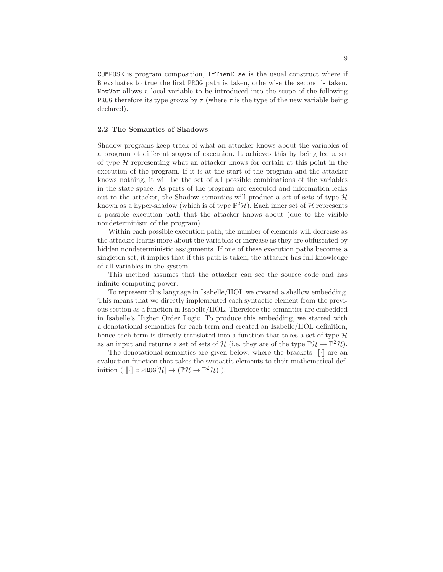COMPOSE is program composition, IfThenElse is the usual construct where if B evaluates to true the first PROG path is taken, otherwise the second is taken. NewVar allows a local variable to be introduced into the scope of the following **PROG** therefore its type grows by  $\tau$  (where  $\tau$  is the type of the new variable being declared).

#### 2.2 The Semantics of Shadows

Shadow programs keep track of what an attacker knows about the variables of a program at different stages of execution. It achieves this by being fed a set of type  $H$  representing what an attacker knows for certain at this point in the execution of the program. If it is at the start of the program and the attacker knows nothing, it will be the set of all possible combinations of the variables in the state space. As parts of the program are executed and information leaks out to the attacker, the Shadow semantics will produce a set of sets of type  $H$ known as a hyper-shadow (which is of type  $\mathbb{P}^2\mathcal{H}$ ). Each inner set of  $\mathcal H$  represents a possible execution path that the attacker knows about (due to the visible nondeterminism of the program).

Within each possible execution path, the number of elements will decrease as the attacker learns more about the variables or increase as they are obfuscated by hidden nondeterministic assignments. If one of these execution paths becomes a singleton set, it implies that if this path is taken, the attacker has full knowledge of all variables in the system.

This method assumes that the attacker can see the source code and has infinite computing power.

To represent this language in Isabelle/HOL we created a shallow embedding. This means that we directly implemented each syntactic element from the previous section as a function in Isabelle/HOL. Therefore the semantics are embedded in Isabelle's Higher Order Logic. To produce this embedding, we started with a denotational semantics for each term and created an Isabelle/HOL definition, hence each term is directly translated into a function that takes a set of type  $\mathcal{H}$ as an input and returns a set of sets of  $H$  (i.e. they are of the type  $\mathbb{P}\mathcal{H} \to \mathbb{P}^2\mathcal{H}$ ).

The denotational semantics are given below, where the brackets  $\lbrack \cdot \rbrack$  are an evaluation function that takes the syntactic elements to their mathematical definition ( $[\![\cdot]\!]$  :: PROG $[\mathcal{H}] \to (\mathbb{P}\mathcal{H} \to \mathbb{P}^2\mathcal{H})$ ).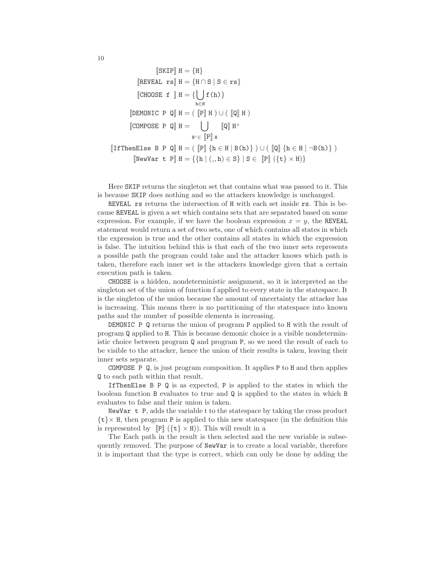$$
\begin{aligned}\n&[\text{SKIP}] \ \mathbf{H} = \{\mathbf{H}\} \\
&[\text{REVEAL rs}] \ \mathbf{H} = \{\mathbf{H} \cap \mathbf{S} \mid \mathbf{S} \in \mathbf{rs}\} \\
&[\text{CHOOSE f} \ \mathbf{H} = \{\bigcup_{\mathbf{h} \in \mathbf{H}} \mathbf{f}(\mathbf{h})\} \\
&[\text{DEMONIC P Q}] \ \mathbf{H} = (\begin{bmatrix} P \end{bmatrix} \mathbf{H}) \cup (\begin{bmatrix} Q \end{bmatrix} \mathbf{H}) \\
&[\text{COMPOSE P Q}] \ \mathbf{H} = \bigcup_{\mathbf{H}^{\prime} \in [P] \ \mathbf{H}} \left[\text{Q} \right] \mathbf{H}^{\prime} \\
&[\text{If} \text{Then} \text{Else B P Q}] \ \mathbf{H} = (\begin{bmatrix} P \end{bmatrix} \{\mathbf{h} \in \mathbf{H} \mid \mathbf{B}(\mathbf{h})\} \ \mathbf{H} = \{\{\mathbf{h} \mid (\_,\mathbf{h}) \in \mathbf{S}\} \mid \mathbf{S} \in [P] \ (\{\mathbf{t}\} \times \mathbf{H})\}\n\end{aligned}
$$

Here SKIP returns the singleton set that contains what was passed to it. This is because SKIP does nothing and so the attackers knowledge is unchanged.

REVEAL rs returns the intersection of H with each set inside rs. This is because REVEAL is given a set which contains sets that are separated based on some expression. For example, if we have the boolean expression  $x = y$ , the REVEAL statement would return a set of two sets, one of which contains all states in which the expression is true and the other contains all states in which the expression is false. The intuition behind this is that each of the two inner sets represents a possible path the program could take and the attacker knows which path is taken, therefore each inner set is the attackers knowledge given that a certain execution path is taken.

CHOOSE is a hidden, nondeterministic assignment, so it is interpreted as the singleton set of the union of function f applied to every state in the statespace. It is the singleton of the union because the amount of uncertainty the attacker has is increasing. This means there is no partitioning of the statespace into known paths and the number of possible elements is increasing.

DEMONIC P Q returns the union of program P applied to H with the result of program Q applied to H. This is because demonic choice is a visible nondeterministic choice between program Q and program P, so we need the result of each to be visible to the attacker, hence the union of their results is taken, leaving their inner sets separate.

COMPOSE P Q, is just program composition. It applies P to H and then applies Q to each path within that result.

IfThenElse B P Q is as expected, P is applied to the states in which the boolean function B evaluates to true and Q is applied to the states in which B evaluates to false and their union is taken.

NewVar t P, adds the variable t to the statespace by taking the cross product  $\{t\}\times$  H, then program P is applied to this new statespace (in the definition this is represented by  $[\mathbb{P}]$   $(\{\mathbf{t}\}\times\mathbf{H})$ ). This will result in a

The Each path in the result is then selected and the new variable is subsequently removed. The purpose of NewVar is to create a local variable, therefore it is important that the type is correct, which can only be done by adding the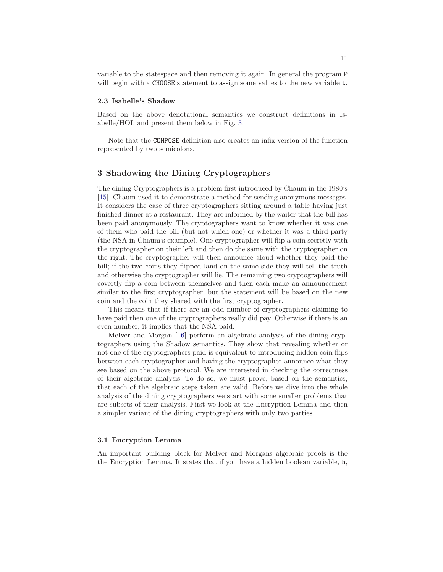variable to the statespace and then removing it again. In general the program P will begin with a CHOOSE statement to assign some values to the new variable t.

## 2.3 Isabelle's Shadow

Based on the above denotational semantics we construct definitions in Isabelle/HOL and present them below in Fig. [3.](#page-11-0)

Note that the COMPOSE definition also creates an infix version of the function represented by two semicolons.

# 3 Shadowing the Dining Cryptographers

The dining Cryptographers is a problem first introduced by Chaum in the 1980's [\[15\]](#page-28-5). Chaum used it to demonstrate a method for sending anonymous messages. It considers the case of three cryptographers sitting around a table having just finished dinner at a restaurant. They are informed by the waiter that the bill has been paid anonymously. The cryptographers want to know whether it was one of them who paid the bill (but not which one) or whether it was a third party (the NSA in Chaum's example). One cryptographer will flip a coin secretly with the cryptographer on their left and then do the same with the cryptographer on the right. The cryptographer will then announce aloud whether they paid the bill; if the two coins they flipped land on the same side they will tell the truth and otherwise the cryptographer will lie. The remaining two cryptographers will covertly flip a coin between themselves and then each make an announcement similar to the first cryptographer, but the statement will be based on the new coin and the coin they shared with the first cryptographer.

This means that if there are an odd number of cryptographers claiming to have paid then one of the cryptographers really did pay. Otherwise if there is an even number, it implies that the NSA paid.

McIver and Morgan [\[16\]](#page-28-6) perform an algebraic analysis of the dining cryptographers using the Shadow semantics. They show that revealing whether or not one of the cryptographers paid is equivalent to introducing hidden coin flips between each cryptographer and having the cryptographer announce what they see based on the above protocol. We are interested in checking the correctness of their algebraic analysis. To do so, we must prove, based on the semantics, that each of the algebraic steps taken are valid. Before we dive into the whole analysis of the dining cryptographers we start with some smaller problems that are subsets of their analysis. First we look at the Encryption Lemma and then a simpler variant of the dining cryptographers with only two parties.

## 3.1 Encryption Lemma

An important building block for McIver and Morgans algebraic proofs is the the Encryption Lemma. It states that if you have a hidden boolean variable, h,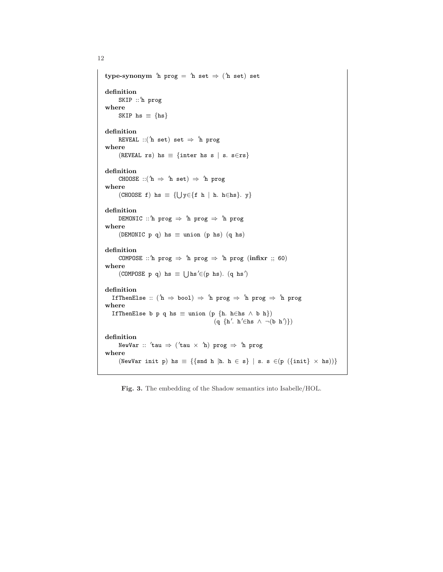```
12
```

```
\tt type-synonym \hbox{~'}h \tt prog = \hbox{~'}h set \Rightarrow \hbox{~'}h set) set
definition
      SKIP ::′
h prog
where
     SKIP hs \equiv {hs}
definition
      \texttt{REVEAL} ::('h set) set \Rightarrow 'h \texttt{prog}where
      (REVEAL rs) hs \equiv {inter hs s | s. s∈rs}
definition
      CHOOSE ::('h \Rightarrow 'h \text{ set}) \Rightarrow 'h \text{ prog}where
      (CHOOSE f) hs \equiv \{\bigcup y \in \{f \ h \mid h. h \in hs\}. y\}definition
      \mathtt{DEMONIC} ::'h prog \Rightarrow 'h prog \Rightarrow 'h prog
where
      (DEMONIC p q) hs \equiv union (p hs) (q hs)
definition
      COMPOSE ::'h prog \Rightarrow 'h prog \Rightarrow 'h prog (infixr ;; 60)
where
      (COMPOSE p q) hs \equiv \bigcup \text{hs}' \in (p \text{hs}). (q \text{hs}')definition
   IfThenElse :: ( h \Rightarrow \text{bool} ) \Rightarrow h \text{ prog } \Rightarrow h \text{ prog } \Rightarrow h \text{ prog }where
   IfThenElse b p q hs \equiv union (p {h. h∈hs \wedge b h})
                                                  (q \{h'. h' \in hs \land \neg(b h')\})definition
      {\tt NewVar} :: 'tau \Rightarrow ('tau \times 'h) {\tt prog} \Rightarrow 'h {\tt prog}where
      (NewVar init p) hs \equiv {{snd h |h. h \in s} | s. s \in (\{init} \times hs))}
```
<span id="page-11-0"></span>Fig. 3. The embedding of the Shadow semantics into Isabelle/HOL.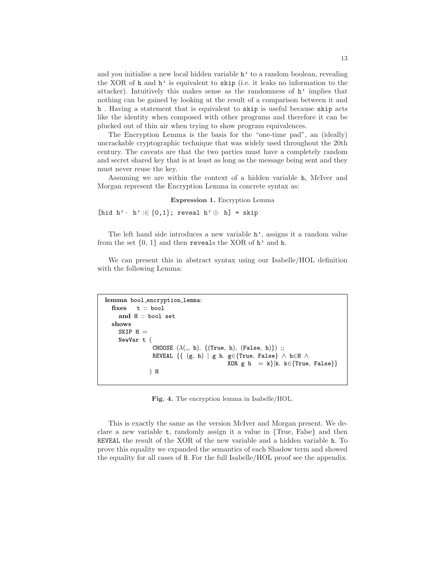and you initialise a new local hidden variable h' to a random boolean, revealing the XOR of h and h' is equivalent to skip (i.e. it leaks no information to the attacker). Intuitively this makes sense as the randomness of  $h'$  implies that nothing can be gained by looking at the result of a comparison between it and h . Having a statement that is equivalent to skip is useful because skip acts like the identity when composed with other programs and therefore it can be plucked out of thin air when trying to show program equivalences.

The Encryption Lemma is the basis for the "one-time pad", an (ideally) uncrackable cryptographic technique that was widely used throughout the 20th century. The caveats are that the two parties must have a completely random and secret shared key that is at least as long as the message being sent and they must never reuse the key.

Assuming we are within the context of a hidden variable h, McIver and Morgan represent the Encryption Lemma in concrete syntax as:

#### Expression 1. Encryption Lemma

[hid h' · h' : $\in \{0,1\}$ ; reveal h'  $\oplus$  h] = skip

The left hand side introduces a new variable h', assigns it a random value from the set  $\{0, 1\}$  and then reveals the XOR of h' and h.

We can present this in abstract syntax using our Isabelle/HOL definition with the following Lemma:

```
lemma bool_encryption_lemma:
  fixes t :: bool
    and H :: bool set
  shows
    SKIP H =NewVar t (
                 CHOOSE (\lambda(\_, h). \{(True, h), (False, h)\});
                 REVEAL \{ \{ (g, h) | g h. g \in \{True, False \} \wedge h \in H \wedge \}XOR g h = k | k. k \in \{True, False\}) H
```
Fig. 4. The encryption lemma in Isabelle/HOL.

This is exactly the same as the version McIver and Morgan present. We declare a new variable t, randomly assign it a value in {True, False} and then REVEAL the result of the XOR of the new variable and a hidden variable h. To prove this equality we expanded the semantics of each Shadow term and showed the equality for all cases of H. For the full Isabelle/HOL proof see the appendix.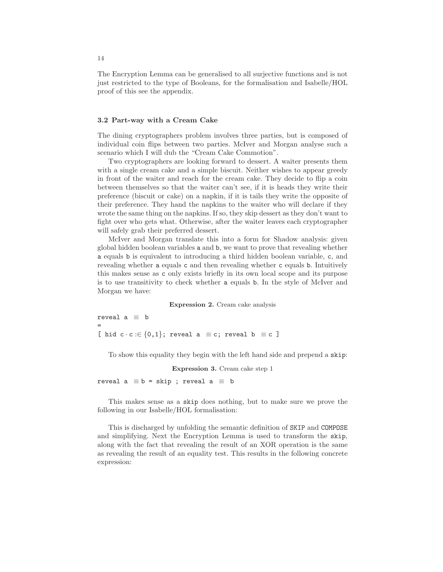The Encryption Lemma can be generalised to all surjective functions and is not just restricted to the type of Booleans, for the formalisation and Isabelle/HOL proof of this see the appendix.

## 3.2 Part-way with a Cream Cake

The dining cryptographers problem involves three parties, but is composed of individual coin flips between two parties. McIver and Morgan analyse such a scenario which I will dub the "Cream Cake Commotion".

Two cryptographers are looking forward to dessert. A waiter presents them with a single cream cake and a simple biscuit. Neither wishes to appear greedy in front of the waiter and reach for the cream cake. They decide to flip a coin between themselves so that the waiter can't see, if it is heads they write their preference (biscuit or cake) on a napkin, if it is tails they write the opposite of their preference. They hand the napkins to the waiter who will declare if they wrote the same thing on the napkins. If so, they skip dessert as they don't want to fight over who gets what. Otherwise, after the waiter leaves each cryptographer will safely grab their preferred dessert.

McIver and Morgan translate this into a form for Shadow analysis: given global hidden boolean variables a and b, we want to prove that revealing whether a equals b is equivalent to introducing a third hidden boolean variable, c, and revealing whether a equals c and then revealing whether c equals b. Intuitively this makes sense as c only exists briefly in its own local scope and its purpose is to use transitivity to check whether a equals b. In the style of McIver and Morgan we have:

#### Expression 2. Cream cake analysis

reveal  $a \equiv b$ = [ hid  $c \cdot c := \{0,1\}$ ; reveal a  $\equiv c$ ; reveal b  $\equiv c$  ]

To show this equality they begin with the left hand side and prepend a skip:

Expression 3. Cream cake step 1

reveal  $a \equiv b =$  skip ; reveal  $a \equiv b$ 

This makes sense as a skip does nothing, but to make sure we prove the following in our Isabelle/HOL formalisation:

This is discharged by unfolding the semantic definition of SKIP and COMPOSE and simplifying. Next the Encryption Lemma is used to transform the skip, along with the fact that revealing the result of an XOR operation is the same as revealing the result of an equality test. This results in the following concrete expression: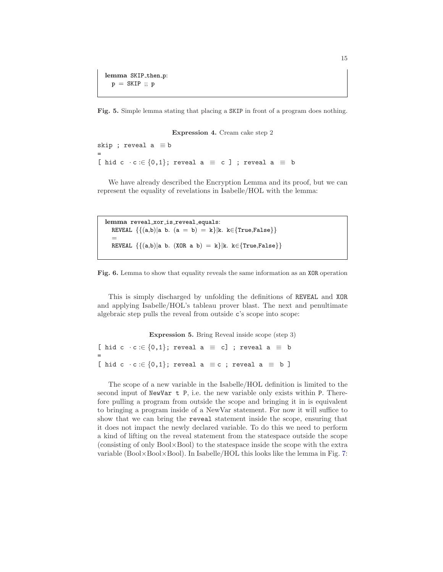lemma SKIP\_then\_p:  $p =$  SKIP ;;  $p$ 

Fig. 5. Simple lemma stating that placing a SKIP in front of a program does nothing.

Expression 4. Cream cake step 2

```
skip ; reveal a \equiv b=
[ hid c \cdot c :\in {0,1}; reveal a \equiv c ] ; reveal a \equiv b
```
We have already described the Encryption Lemma and its proof, but we can represent the equality of revelations in Isabelle/HOL with the lemma:

lemma reveal\_xor\_is\_reveal\_equals: REVEAL  $\{(a,b)|a\ b. (a = b) = k\}|k. k \in \{True, False\}\}\$ = REVEAL  $\{\{(a,b)|a\ b. \ (XOR\ a\ b)=k\}|k. \ k \in \{True, False\}\}\$ 



This is simply discharged by unfolding the definitions of REVEAL and XOR and applying Isabelle/HOL's tableau prover blast. The next and penultimate algebraic step pulls the reveal from outside c's scope into scope:

Expression 5. Bring Reveal inside scope (step 3) [ hid c  $\cdot$  c : $\in$  {0,1}; reveal a  $\equiv$  c] ; reveal a  $\equiv$  b = [ hid c  $\cdot$  c : $\in$  {0,1}; reveal a  $\equiv$  c ; reveal a  $\equiv$  b ]

The scope of a new variable in the Isabelle/HOL definition is limited to the second input of NewVar t P, i.e. the new variable only exists within P. Therefore pulling a program from outside the scope and bringing it in is equivalent to bringing a program inside of a NewVar statement. For now it will suffice to show that we can bring the reveal statement inside the scope, ensuring that it does not impact the newly declared variable. To do this we need to perform a kind of lifting on the reveal statement from the statespace outside the scope (consisting of only Bool×Bool) to the statespace inside the scope with the extra variable (Bool×Bool×Bool). In Isabelle/HOL this looks like the lemma in Fig. [7:](#page-15-0)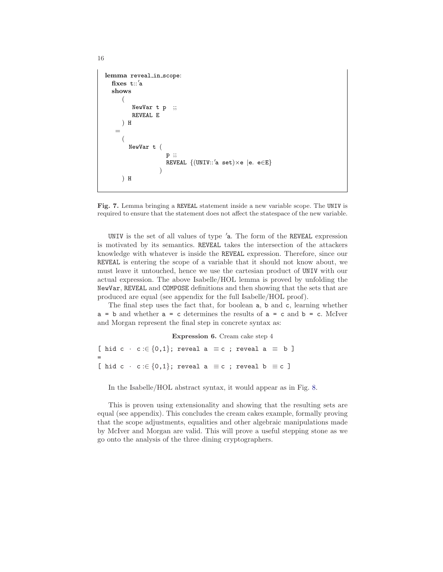```
lemma reveal_in_scope:
   \operatorname{fixes} \operatorname{t::}'a
  shows
      (
          NewVar t p ;;
          REVEAL E
      ) H
    =
      (
         NewVar t (
                        p ;;
                         .<br>REVEAL {(UNIV∷'a set)×e |e. e∈E}
                      )
      ) H
```
<span id="page-15-0"></span>Fig. 7. Lemma bringing a REVEAL statement inside a new variable scope. The UNIV is required to ensure that the statement does not affect the statespace of the new variable.

UNIV is the set of all values of type ′a. The form of the REVEAL expression is motivated by its semantics. REVEAL takes the intersection of the attackers knowledge with whatever is inside the REVEAL expression. Therefore, since our REVEAL is entering the scope of a variable that it should not know about, we must leave it untouched, hence we use the cartesian product of UNIV with our actual expression. The above Isabelle/HOL lemma is proved by unfolding the NewVar, REVEAL and COMPOSE definitions and then showing that the sets that are produced are equal (see appendix for the full Isabelle/HOL proof).

The final step uses the fact that, for boolean a, b and c, learning whether  $a = b$  and whether  $a = c$  determines the results of  $a = c$  and  $b = c$ . McIver and Morgan represent the final step in concrete syntax as:

```
Expression 6. Cream cake step 4
[ hid c · c :\in {0,1}; reveal a \equiv c ; reveal a \equiv b ]
=
[ hid c · c :\in {0,1}; reveal a \equiv c ; reveal b \equiv c ]
```
In the Isabelle/HOL abstract syntax, it would appear as in Fig. [8.](#page-16-0)

This is proven using extensionality and showing that the resulting sets are equal (see appendix). This concludes the cream cakes example, formally proving that the scope adjustments, equalities and other algebraic manipulations made by McIver and Morgan are valid. This will prove a useful stepping stone as we go onto the analysis of the three dining cryptographers.

```
16
```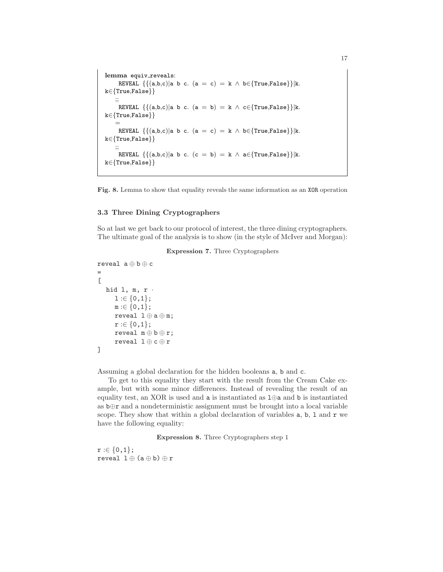```
lemma equiv_reveals:
       REVEAL \{\{(a,b,c)|a\ b\ c. \ (a = c) = k \land b \in \{True, False\}\}|k.k∈{True,False}}
     ;;
      REVEAL \{\{(a,b,c)|a\ b\ c.\ (a = b) = k\ \wedge\ c{\in}\True,False\}\|k.k∈{True,False}}
      =
       REVEAL \{(\mathsf{a},\mathsf{b},\mathsf{c}) | \mathsf{a} \mathsf{b} \mathsf{c}. (\mathsf{a} = \mathsf{c}) = \mathsf{k} \wedge \mathsf{b} \in \{\text{True}, \text{False}\}\}|\mathsf{k}.k∈{True,False}}
      ;;
      REVEAL \{(\mathsf{a},\mathsf{b},\mathsf{c}) | \mathsf{a} \mathsf{b} \mathsf{c}. (c = b) = k \land a\in{True,False}}|k.
k∈{True,False}}
```

```
Fig. 8. Lemma to show that equality reveals the same information as an XOR operation
```
## 3.3 Three Dining Cryptographers

<span id="page-16-2"></span>So at last we get back to our protocol of interest, the three dining cryptographers. The ultimate goal of the analysis is to show (in the style of McIver and Morgan):

Expression 7. Three Cryptographers

```
reveal a \oplus b \oplus c=
\Gammahid l, m, r ·
      1:\in \{0,1\};m := \{0, 1\};reveal 1 \oplus a \oplus m;
      r := \{0,1\};reveal m \oplus b \oplus r;
      reveal 1 \oplus c \oplus r]
```
Assuming a global declaration for the hidden booleans a, b and c.

To get to this equality they start with the result from the Cream Cake example, but with some minor differences. Instead of revealing the result of an equality test, an XOR is used and a is instantiated as l⊕a and b is instantiated as b⊕r and a nondeterministic assignment must be brought into a local variable scope. They show that within a global declaration of variables  $a, b, 1$  and  $r$  we have the following equality:

Expression 8. Three Cryptographers step 1

<span id="page-16-1"></span> $r := \{0,1\};$ reveal  $1 \oplus (a \oplus b) \oplus r$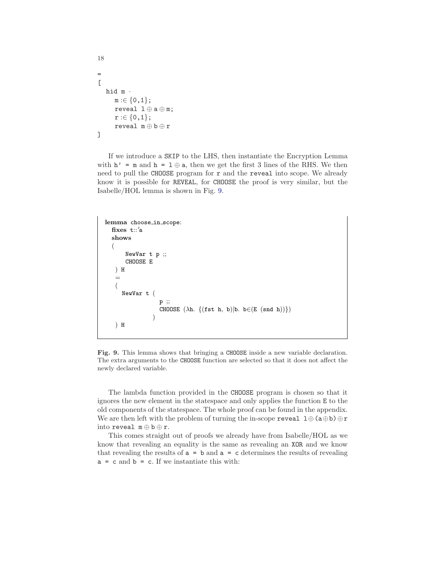```
18
=
\lbrackhid m ·
      m := \{0, 1\};reveal l \oplus a \oplus m;
      r := \{0,1\};reveal m \oplus b \oplus r]
```
If we introduce a SKIP to the LHS, then instantiate the Encryption Lemma with  $h' = m$  and  $h = 1 \oplus a$ , then we get the first 3 lines of the RHS. We then need to pull the CHOOSE program for  $r$  and the reveal into scope. We already know it is possible for REVEAL, for CHOOSE the proof is very similar, but the Isabelle/HOL lemma is shown in Fig. [9.](#page-17-0)

```
lemma choose_in_scope:
   \operatorname{fixes} \operatorname{t::}'a
   shows
   (
         NewVar t p ;;
         CHOOSE E
    ) H
    =
    (
       NewVar t (
                       p ;;
                       CHOOSE (\lambda h. \{(fst h, b)|b. b \in (E (snd h))\})\lambda) H
```
<span id="page-17-0"></span>Fig. 9. This lemma shows that bringing a CHOOSE inside a new variable declaration. The extra arguments to the CHOOSE function are selected so that it does not affect the newly declared variable.

The lambda function provided in the CHOOSE program is chosen so that it ignores the new element in the statespace and only applies the function E to the old components of the statespace. The whole proof can be found in the appendix. We are then left with the problem of turning the in-scope reveal  $1 \oplus (a \oplus b) \oplus r$ into reveal m ⊕ b ⊕ r.

This comes straight out of proofs we already have from Isabelle/HOL as we know that revealing an equality is the same as revealing an XOR and we know that revealing the results of  $a = b$  and  $a = c$  determines the results of revealing  $a = c$  and  $b = c$ . If we instantiate this with: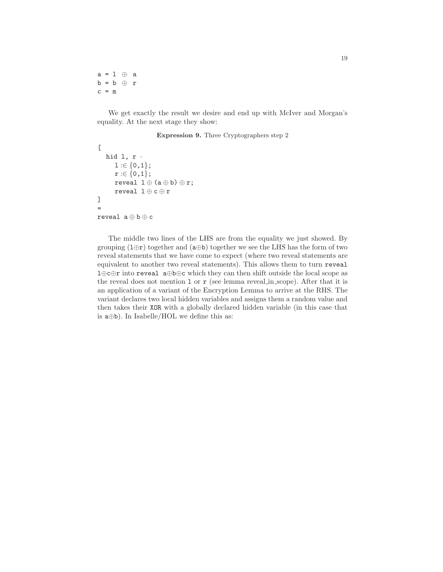a = l ⊕ a  $b = b \oplus r$  $c = m$ 

<span id="page-18-0"></span>We get exactly the result we desire and end up with McIver and Morgan's equality. At the next stage they show:

## Expression 9. Three Cryptographers step 2

```
\Gammahid l, r ·
       1:\in \{0,1\};r := \{0,1\};reveal 1 \oplus (a \oplus b) \oplus r;
       reveal l \oplus c \oplus r\overline{1}=
reveal a \oplus b \oplus c
```
The middle two lines of the LHS are from the equality we just showed. By grouping  $(1 \oplus r)$  together and  $(a \oplus b)$  together we see the LHS has the form of two reveal statements that we have come to expect (where two reveal statements are equivalent to another two reveal statements). This allows them to turn reveal l⊕c⊕r into reveal a⊕b⊕c which they can then shift outside the local scope as the reveal does not mention  $1$  or  $r$  (see lemma reveal in scope). After that it is an application of a variant of the Encryption Lemma to arrive at the RHS. The variant declares two local hidden variables and assigns them a random value and then takes their XOR with a globally declared hidden variable (in this case that is a⊕b). In Isabelle/HOL we define this as: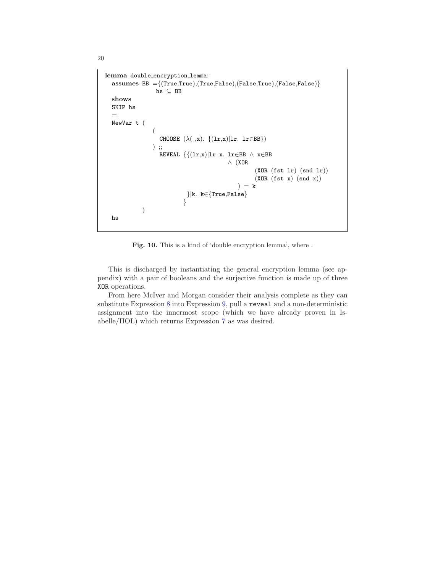```
lemma double encryption lemma:
  assumes BB ={(True,True),(True,False),(False,True),(False,False)}
                  hs ⊆ BB
  shows
  SKIP hs
  =
  NewVar t (
                 (
                    CHOOSE (\lambda(\_ ,x). \{(1r,x)|1r. 1r \in BB\})) ;;
                   REVEAL \{(\text{lr},x)|\text{lr}\ x. \ \text{lr}\in BB \ \land \ x\in BB∧ (XOR
                                                       (XOR (fst 1r) (snd 1r))(XOR (fst x) (snd x))) = k}|k. k∈{True,False}
                            }
             )
  hs
```
Fig. 10. This is a kind of 'double encryption lemma', where .

This is discharged by instantiating the general encryption lemma (see appendix) with a pair of booleans and the surjective function is made up of three XOR operations.

From here McIver and Morgan consider their analysis complete as they can substitute Expression [8](#page-16-1) into Expression [9,](#page-18-0) pull a reveal and a non-deterministic assignment into the innermost scope (which we have already proven in Isabelle/HOL) which returns Expression [7](#page-16-2) as was desired.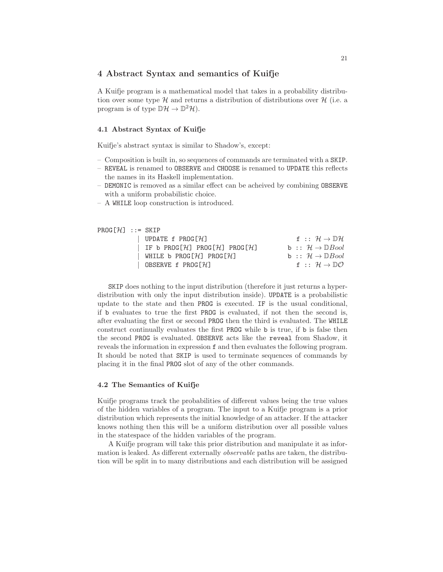# 4 Abstract Syntax and semantics of Kuifje

A Kuifje program is a mathematical model that takes in a probability distribution over some type  $\mathcal H$  and returns a distribution of distributions over  $\mathcal H$  (i.e. a program is of type  $\mathbb{D}\mathcal{H} \to \mathbb{D}^2\mathcal{H}$ .

#### 4.1 Abstract Syntax of Kuifje

Kuifje's abstract syntax is similar to Shadow's, except:

- Composition is built in, so sequences of commands are terminated with a SKIP.
- REVEAL is renamed to OBSERVE and CHOOSE is renamed to UPDATE this reflects the names in its Haskell implementation.
- DEMONIC is removed as a similar effect can be acheived by combining OBSERVE with a uniform probabilistic choice.
- A WHILE loop construction is introduced.

```
PROG[\mathcal{H}] :: = SKIP
```

| UPDATE f $PROG[\mathcal{H}]$             | f: $H \rightarrow \mathbb{D}H$                      |
|------------------------------------------|-----------------------------------------------------|
| IF b PROG[ $H$ ] PROG[ $H$ ] PROG[ $H$ ] | b: $\mathcal{H} \rightarrow \mathbb{D}$ <i>Bool</i> |
| WHILE <b>b</b> PROG[ $H$ ] PROG[ $H$ ]   | b: $\mathcal{H} \rightarrow \mathbb{D}$ <i>Bool</i> |
| OBSERVE f $PROG[H]$                      | f: $H \rightarrow \mathbb{D}O$                      |

SKIP does nothing to the input distribution (therefore it just returns a hyperdistribution with only the input distribution inside). UPDATE is a probabilistic update to the state and then PROG is executed. IF is the usual conditional, if b evaluates to true the first PROG is evaluated, if not then the second is, after evaluating the first or second PROG then the third is evaluated. The WHILE construct continually evaluates the first PROG while b is true, if b is false then the second PROG is evaluated. OBSERVE acts like the reveal from Shadow, it reveals the information in expression f and then evaluates the following program. It should be noted that SKIP is used to terminate sequences of commands by placing it in the final PROG slot of any of the other commands.

## 4.2 The Semantics of Kuifje

Kuifje programs track the probabilities of different values being the true values of the hidden variables of a program. The input to a Kuifje program is a prior distribution which represents the initial knowledge of an attacker. If the attacker knows nothing then this will be a uniform distribution over all possible values in the statespace of the hidden variables of the program.

A Kuifje program will take this prior distribution and manipulate it as information is leaked. As different externally observable paths are taken, the distribution will be split in to many distributions and each distribution will be assigned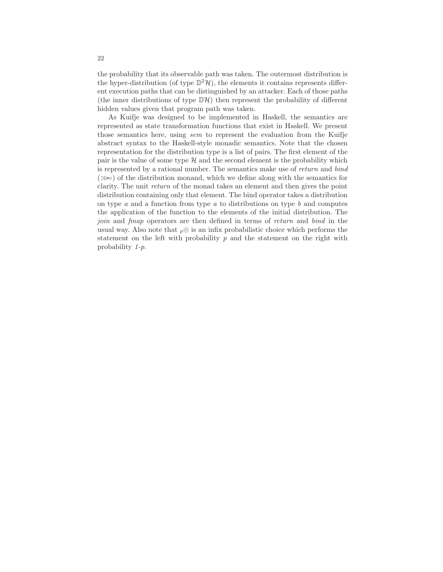the probability that its observable path was taken. The outermost distribution is the hyper-distribution (of type  $\mathbb{D}^2 \mathcal{H}$ ), the elements it contains represents different execution paths that can be distinguished by an attacker. Each of those paths (the inner distributions of type  $\mathbb{D} \mathcal{H}$ ) then represent the probability of different hidden values given that program path was taken.

As Kuifje was designed to be implemented in Haskell, the semantics are represented as state transformation functions that exist in Haskell. We present those semantics here, using sem to represent the evaluation from the Kuifje abstract syntax to the Haskell-style monadic semantics. Note that the chosen representation for the distribution type is a list of pairs. The first element of the pair is the value of some type  $H$  and the second element is the probability which is represented by a rational number. The semantics make use of return and bind  $(\ggg)$  of the distribution monand, which we define along with the semantics for clarity. The unit return of the monad takes an element and then gives the point distribution containing only that element. The bind operator takes a distribution on type  $a$  and a function from type  $a$  to distributions on type  $b$  and computes the application of the function to the elements of the initial distribution. The join and fmap operators are then defined in terms of return and bind in the usual way. Also note that  $p \oplus$  is an infix probabilistic choice which performs the statement on the left with probability  $p$  and the statement on the right with probability 1-p.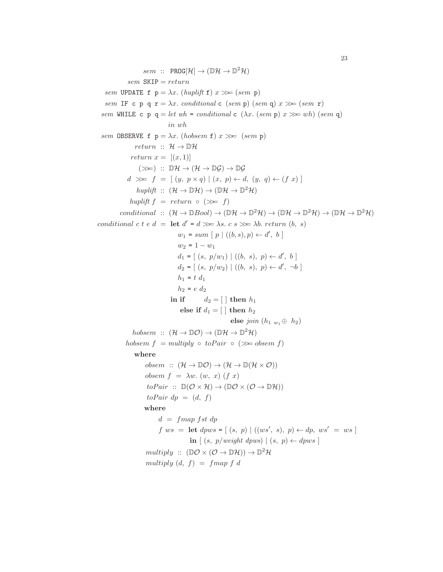$sem :: PROG[\mathcal{H}] \rightarrow (\mathbb{D}\mathcal{H} \rightarrow \mathbb{D}^2\mathcal{H})$  $sem$  SKIP =  $return$ sem UPDATE f  $p = \lambda x$ . (huplift f)  $x \gg (sem \ p)$ sem IF c p q  $r = \lambda x$ . conditional c (sem p) (sem q)  $x \gg (sem \ r)$ sem WHILE c p q = let wh = conditional c ( $\lambda x$ . (sem p)  $x \gg wh$ ) (sem q) in wh sem OBSERVE f  $p = \lambda x$ . (hobsem f)  $x \gg=(sem \; p)$ return ::  $\mathcal{H} \rightarrow \mathbb{D} \mathcal{H}$ return  $x = [(x, 1)]$  $(\ggg)$  ::  $\mathbb{D}\mathcal{H} \to (\mathcal{H} \to \mathbb{D}\mathcal{G}) \to \mathbb{D}\mathcal{G}$  $d \gg f = [(y, p \times q) | (x, p) \leftarrow d, (y, q) \leftarrow (f x)]$ huplift ::  $(\mathcal{H} \to \mathbb{D}\mathcal{H}) \to (\mathbb{D}\mathcal{H} \to \mathbb{D}^2\mathcal{H})$ huplift  $f = return \circ (\gg f)$ conditional ::  $(\mathcal{H} \to \mathbb{D}Bool) \to (\mathbb{D}\mathcal{H} \to \mathbb{D}^2\mathcal{H}) \to (\mathbb{D}\mathcal{H} \to \mathbb{D}^2\mathcal{H}) \to (\mathbb{D}\mathcal{H} \to \mathbb{D}^2\mathcal{H})$ conditional c t e  $d = \text{let } d' = d \gg \lambda s$ . c  $s \gg \lambda b$ . return  $(b, s)$  $w_1 = sum [p] ((b, s), p) \leftarrow d', b]$  $w_2 = 1 - w_1$  $d_1 = [(s, p/w_1) \mid ((b, s), p) \leftarrow d', b]$  $d_2 = [(s, p/w_2) \mid ((b, s), p) \leftarrow d', \neg b]$  $h_1 = t \ d_1$  $h_2 = e \ d_2$ in if  $d_2 = [\ ]$  then  $h_1$ else if  $d_1 = \lceil \cdot \rceil$  then  $h_2$ else join  $(h_1, w_1 \oplus h_2)$ hobsem ::  $(\mathcal{H} \to \mathbb{D}\mathcal{O}) \to (\mathbb{D}\mathcal{H} \to \mathbb{D}^2\mathcal{H})$ hobsem  $f =$  multiply  $\circ$  to Pair  $\circ$  ( $\gg$  obsem f) where obsem ::  $(\mathcal{H} \to \mathbb{D}\mathcal{O}) \to (\mathcal{H} \to \mathbb{D}(\mathcal{H} \times \mathcal{O}))$ obsem  $f = \lambda w$ .  $(w, x)$   $(f x)$  $toPair$  ::  $\mathbb{D}(\mathcal{O}\times\mathcal{H})\to (\mathbb{D}\mathcal{O}\times(\mathcal{O}\to\mathbb{D}\mathcal{H}))$  $to Pair dp = (d, f)$ where  $d = fmap$  fst dp  $f \; ws \; = \; \textbf{let} \; dpws \; = \; \left[ \; (s, \; p) \; \right] \; ((ws', \; s), \; p) \leftarrow dp, \; ws' \; = \; ws \; \right]$ in  $[(s, p/weight \text{ dyus}) | (s, p) \leftarrow dpws]$  $multiply :: (\mathbb{D}\mathcal{O}\times(\mathcal{O}\rightarrow\mathbb{D}\mathcal{H})) \rightarrow \mathbb{D}^2\mathcal{H}$ multiply  $(d, f) = fmap f d$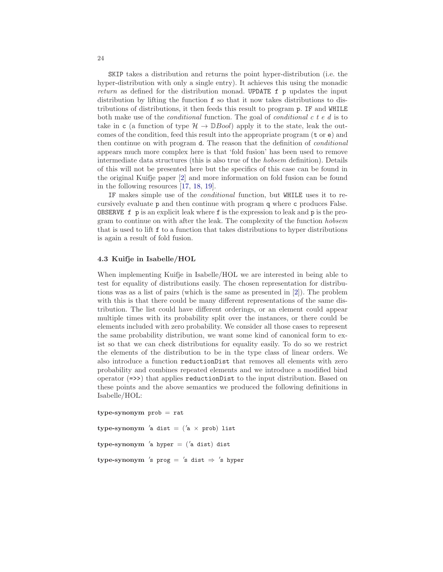SKIP takes a distribution and returns the point hyper-distribution (i.e. the hyper-distribution with only a single entry). It achieves this using the monadic return as defined for the distribution monad. UPDATE f p updates the input distribution by lifting the function f so that it now takes distributions to distributions of distributions, it then feeds this result to program p. IF and WHILE both make use of the *conditional* function. The goal of *conditional*  $c \, t \, e \, d$  is to take in c (a function of type  $\mathcal{H} \to \mathbb{D}$ *Bool*) apply it to the state, leak the outcomes of the condition, feed this result into the appropriate program  $(t \text{ or } e)$  and then continue on with program d. The reason that the definition of conditional appears much more complex here is that 'fold fusion' has been used to remove intermediate data structures (this is also true of the hobsem definition). Details of this will not be presented here but the specifics of this case can be found in the original Kuifje paper [\[2\]](#page-27-1) and more information on fold fusion can be found in the following resources [\[17,](#page-28-7) [18,](#page-28-8) [19\]](#page-28-9).

IF makes simple use of the conditional function, but WHILE uses it to recursively evaluate p and then continue with program q where c produces False. OBSERVE f p is an explicit leak where f is the expression to leak and p is the program to continue on with after the leak. The complexity of the function hobsem that is used to lift f to a function that takes distributions to hyper distributions is again a result of fold fusion.

## 4.3 Kuifje in Isabelle/HOL

When implementing Kuifje in Isabelle/HOL we are interested in being able to test for equality of distributions easily. The chosen representation for distributions was as a list of pairs (which is the same as presented in [\[2\]](#page-27-1)). The problem with this is that there could be many different representations of the same distribution. The list could have different orderings, or an element could appear multiple times with its probability split over the instances, or there could be elements included with zero probability. We consider all those cases to represent the same probability distribution, we want some kind of canonical form to exist so that we can check distributions for equality easily. To do so we restrict the elements of the distribution to be in the type class of linear orders. We also introduce a function reductionDist that removes all elements with zero probability and combines repeated elements and we introduce a modified bind operator (=>>) that applies reductionDist to the input distribution. Based on these points and the above semantics we produced the following definitions in Isabelle/HOL:

 $type-synonym$  prob  $= rat$ 

 $type\text{-}\mathrm{synonym}$  'a dist = ('a  $\times$  prob) list

type-synonym ′ a hyper = (′ a dist) dist

 $\tt type-synonym$  's  $\texttt{prog} = \text{ 's dist} \Rightarrow \text{ 's hyper}$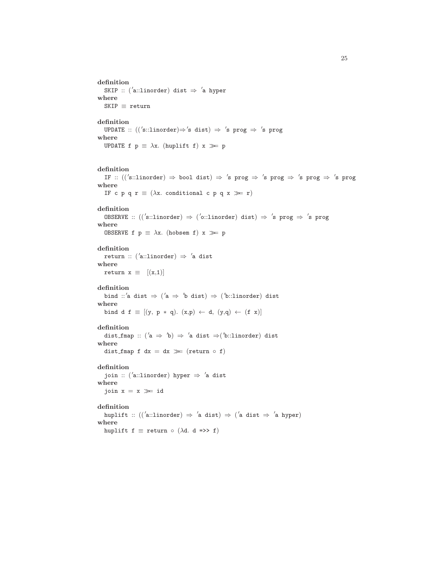```
definition
   SKIP :: ('a::linorder) dist \Rightarrow 'a hyper
where
  \texttt{SKIP} \equiv \texttt{return}definition
   UPDATE :: ((\text{'s::linorder}) \Rightarrow \text{'s dist}) \Rightarrow \text{'s prog} \Rightarrow \text{'s prog}where
  UPDATE f p \equiv \lambda x. (huplift f) x \gg pdefinition
   IF :: ((\text{'s::linorder}) \Rightarrow \text{bool dist}) \Rightarrow \text{'s prog} \Rightarrow \text{'s prog} \Rightarrow \text{'s prog} \Rightarrow \text{'s prog}where
  IF c p q r \equiv (\lambda x. conditional c p q x \gg r)
definition
   OBSERVE :: ((\text{'s::linorder}) \Rightarrow (\text{'o::linorder}) \text{ dist}) \Rightarrow \text{'s prog} \Rightarrow \text{'s prog}where
  OBSERVE f p \equiv \lambda x. (hobsem f) x \gg pdefinition
   return :: ('a::linorder) \Rightarrow 'a distwhere
  return x \equiv [(x,1)]definition
   bind ::'a dist \Rightarrow ('a \Rightarrow 'b dist) \Rightarrow ('b::linorder) dist
where
  bind d f \equiv [(y, p * q). (x,p) \leftarrow d, (y,q) \leftarrow (f x)]
definition
   dist_fmap :: ( 'a \Rightarrow 'b) \Rightarrow 'a dist \Rightarrow ( 'b::linorder) dist
where
  dist_fmap f dx = dx \gg (return \circ f)
definition
   join :: (′
a::linorder) hyper ⇒ ′
a dist
where
  join x = x \gg inid
definition
   huplift :: ((\n'a::linorder) \Rightarrow 'a dist) \Rightarrow ('a dist \Rightarrow 'a hyper)where
  huplift f \equiv return \circ (\lambdad. d =>> f)
```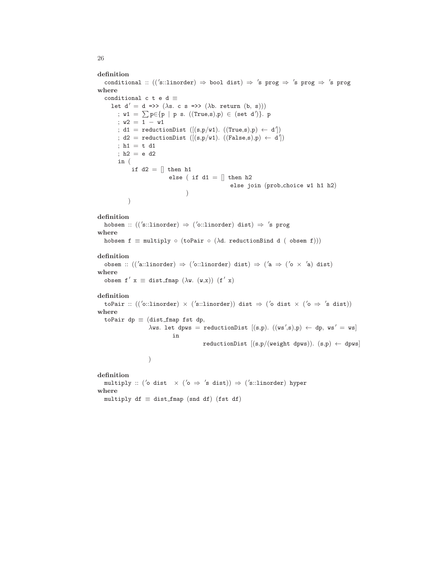```
definition
   {\tt conditional} :: (('s::linorder) \Rightarrow bool dist) \Rightarrow 's prog \Rightarrow 's prog \Rightarrow 's prog
where
  conditional c t e d \equivlet d' = d \implies (\lambda s. c s \implies (\lambda b. return (b, s))); w1 = \sum p \in \{p \mid p \text{ s. } ((True,s), p) \in (set d')\}. p
        ; w2 = 1 − w1
         \begin{array}{rcl} \texttt{(d1 = reductionDist ([(s,p/w1).\ ((True,s),p) \leftarrow d^{'})$)} \end{array}; d2 = \text{reductionDist } ([(s, p/w1). ((False, s), p) \leftarrow d']); h1 = t d1; h2 = e d2
        in (
              if d2 = [] then h1
                              else ( if d1 = || then h2
                                                          else join (prob choice w1 h1 h2)
                                      )
             )
definition
   hobsem :: (('s::linorder) \Rightarrow ('o::linorder) dist) \Rightarrow 's prog
where
  hobsem f \equiv multiply \circ (toPair \circ (\lambdad. reductionBind d ( obsem f)))
definition
   obsem :: (('a::linorder) \Rightarrow ('o::linorder) dist) \Rightarrow ('a \Rightarrow ('o \times 'a) dist)
where
   obsem f' x \equiv dist_fmap (\lambda w. (w,x)) (f' x)
definition
   toPair :: ((\text{'o::linorder}) \times (\text{'s::linorder})) dist \Rightarrow (\text{'o dist} \times (\text{'o} \Rightarrow \text{'s dist}))where
  toPair dp \equiv (dist_fmap fst dp,
                      \lambdaws. let dpws = reductionDist [(s,p). ((ws',s),p) \leftarrow dp, ws' = ws]
                                in
                                             reductionDist [(s,p/(weight \text{ dyws})). (s,p) \leftarrow dpws])
definition
   multiply :: (\acute{}o dist \;\times\; (\acute{}o\;\Rightarrow\; \acute{}s \;\text{dist}))\;\Rightarrow\; (\acute{}s::\texttt{linorder})\;\text{hyper}where
  multiply df \equiv dist_fmap (snd df) (fst df)
```
26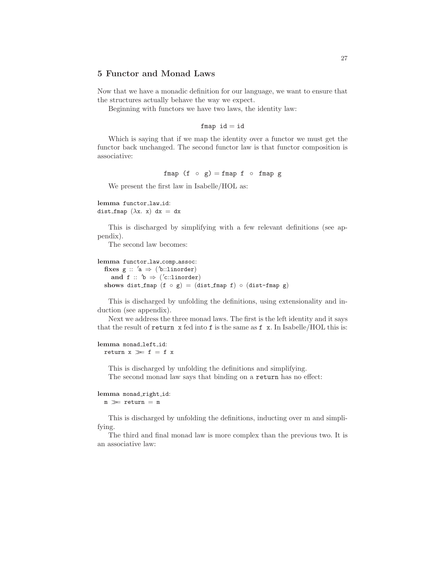# 5 Functor and Monad Laws

Now that we have a monadic definition for our language, we want to ensure that the structures actually behave the way we expect.

Beginning with functors we have two laws, the identity law:

```
fmap id = id
```
Which is saying that if we map the identity over a functor we must get the functor back unchanged. The second functor law is that functor composition is associative:

fmap (f ⊙ g) = fmap f ⊙ fmap g

We present the first law in Isabelle/HOL as:

lemma functor\_law\_id: dist fmap  $(\lambda x. x) dx = dx$ 

This is discharged by simplifying with a few relevant definitions (see appendix).

The second law becomes:

```
lemma functor_law_comp_assoc:
  fixes g :: 'a \Rightarrow ('b::linorder)and f :: 'b \Rightarrow ('c::linorder)shows dist fmap (f \circ g) = (dist_{map} f) \circ (dist_{map} g)
```
This is discharged by unfolding the definitions, using extensionality and induction (see appendix).

Next we address the three monad laws. The first is the left identity and it says that the result of return  $x$  fed into f is the same as f  $x$ . In Isabelle/HOL this is:

## lemma monad\_left\_id: return  $x \gg f = f x$

This is discharged by unfolding the definitions and simplifying. The second monad law says that binding on a return has no effect:

## lemma monad\_right\_id:  $\texttt{m} \ \ggg \ \texttt{return} \ = \ \texttt{m}$

This is discharged by unfolding the definitions, inducting over m and simplifying.

The third and final monad law is more complex than the previous two. It is an associative law: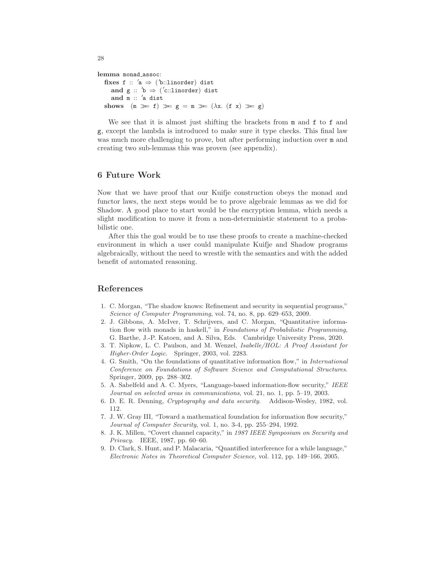```
lemma monad_assoc:
    fixes f :: 'a \Rightarrow ('b::linorder) dist
        and g :: 'b \Rightarrow '('c::linorder) distand \overline{m} :: 'a dist
   \text{shows}\quad (\mathtt{m}\ \ggg\ \mathtt{f})\ \ggg\ \mathtt{g}\ =\ \mathtt{m}\ \ggg\ \left(\lambda \mathtt{x}.\ \mathtt{(f}\ \mathtt{x})\ \ggg\ \mathtt{g}\right)
```
We see that it is almost just shifting the brackets from  $m$  and  $f$  to  $f$  and g, except the lambda is introduced to make sure it type checks. This final law was much more challenging to prove, but after performing induction over  $m$  and creating two sub-lemmas this was proven (see appendix).

# 6 Future Work

Now that we have proof that our Kuifje construction obeys the monad and functor laws, the next steps would be to prove algebraic lemmas as we did for Shadow. A good place to start would be the encryption lemma, which needs a slight modification to move it from a non-deterministic statement to a probabilistic one.

After this the goal would be to use these proofs to create a machine-checked environment in which a user could manipulate Kuifje and Shadow programs algebraically, without the need to wrestle with the semantics and with the added benefit of automated reasoning.

# <span id="page-27-0"></span>References

- 1. C. Morgan, "The shadow knows: Refinement and security in sequential programs," Science of Computer Programming, vol. 74, no. 8, pp. 629–653, 2009.
- <span id="page-27-1"></span>2. J. Gibbons, A. McIver, T. Schrijvers, and C. Morgan, "Quantitative information flow with monads in haskell," in Foundations of Probabilistic Programming, G. Barthe, J.-P. Katoen, and A. Silva, Eds. Cambridge University Press, 2020.
- <span id="page-27-2"></span>3. T. Nipkow, L. C. Paulson, and M. Wenzel, Isabelle/HOL: A Proof Assistant for Higher-Order Logic. Springer, 2003, vol. 2283.
- <span id="page-27-3"></span>4. G. Smith, "On the foundations of quantitative information flow," in International Conference on Foundations of Software Science and Computational Structures. Springer, 2009, pp. 288–302.
- <span id="page-27-4"></span>5. A. Sabelfeld and A. C. Myers, "Language-based information-flow security," IEEE Journal on selected areas in communications, vol. 21, no. 1, pp. 5–19, 2003.
- <span id="page-27-6"></span><span id="page-27-5"></span>6. D. E. R. Denning, Cryptography and data security. Addison-Wesley, 1982, vol. 112.
- 7. J. W. Gray III, "Toward a mathematical foundation for information flow security," Journal of Computer Security, vol. 1, no. 3-4, pp. 255–294, 1992.
- <span id="page-27-7"></span>8. J. K. Millen, "Covert channel capacity," in 1987 IEEE Symposium on Security and Privacy. IEEE, 1987, pp. 60–60.
- <span id="page-27-8"></span>9. D. Clark, S. Hunt, and P. Malacaria, "Quantified interference for a while language," Electronic Notes in Theoretical Computer Science, vol. 112, pp. 149–166, 2005.

28